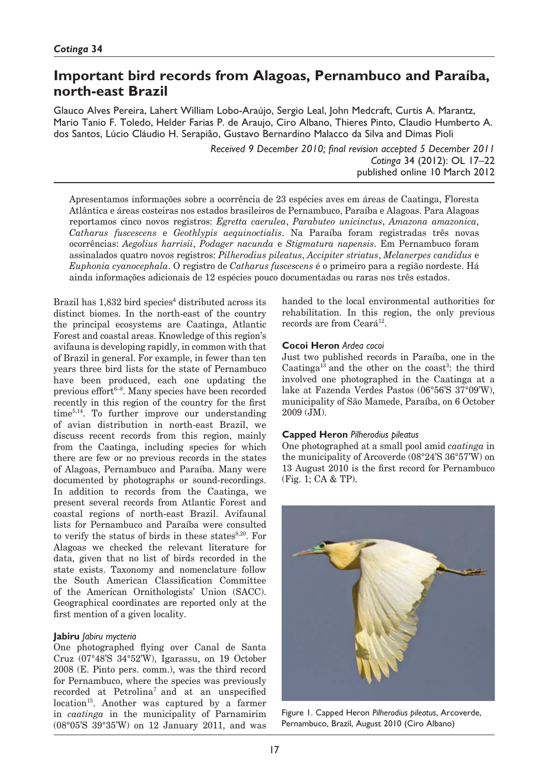# **Important bird records from Alagoas, Pernambuco and Paraíba, north-east Brazil**

Glauco Alves Pereira, Lahert William Lobo-Araújo, Sergio Leal, John Medcraft, Curtis A. Marantz, Mario Tanio F. Toledo, Helder Farias P. de Araujo, Ciro Albano, Thieres Pinto, Claudio Humberto A. dos Santos, Lúcio Cláudio H. Serapião, Gustavo Bernardino Malacco da Silva and Dimas Pioli

> *Received 9 December 2010; final revision accepted 5 December 2011 Cotinga* 34 (2012): OL 17–22 published online 10 March 2012

Apresentamos informações sobre a ocorrência de 23 espécies aves em áreas de Caatinga, Floresta Atlântica e áreas costeiras nos estados brasileiros de Pernambuco, Paraíba e Alagoas. Para Alagoas reportamos cinco novos registros: *Egretta caerulea*, *Parabuteo unicinctus*, *Amazona amazonica*, *Catharus fuscescens* e *Geothlypis aequinoctialis*. Na Paraíba foram registradas três novas ocorrências: *Aegolius harrisii*, *Podager nacunda* e *Stigmatura napensis*. Em Pernambuco foram assinalados quatro novos registros: *Pilherodius pileatus*, *Accipiter striatus*, *Melanerpes candidus* e *Euphonia cyanocephala*. O registro de *Catharus fuscescens* é o primeiro para a região nordeste. Há ainda informações adicionais de 12 espécies pouco documentadas ou raras nos três estados.

Brazil has 1,832 bird species<sup>4</sup> distributed across its distinct biomes. In the north-east of the country the principal ecosystems are Caatinga, Atlantic Forest and coastal areas. Knowledge of this region's avifauna is developing rapidly, in common with that of Brazil in general. For example, in fewer than ten years three bird lists for the state of Pernambuco have been produced, each one updating the previous effort $6-8$ . Many species have been recorded recently in this region of the country for the first time5,14. To further improve our understanding of avian distribution in north-east Brazil, we discuss recent records from this region, mainly from the Caatinga, including species for which there are few or no previous records in the states of Alagoas, Pernambuco and Paraíba. Many were documented by photographs or sound-recordings. In addition to records from the Caatinga, we present several records from Atlantic Forest and coastal regions of north-east Brazil. Avifaunal lists for Pernambuco and Paraíba were consulted to verify the status of birds in these states $8,20$ . For Alagoas we checked the relevant literature for data, given that no list of birds recorded in the state exists. Taxonomy and nomenclature follow the South American Classification Committee of the American Ornithologists' Union (SACC). Geographical coordinates are reported only at the first mention of a given locality.

## **Jabiru** *Jabiru mycteria*

One photographed flying over Canal de Santa Cruz (07°48'S 34°52'W), Igarassu, on 19 October 2008 (E. Pinto pers. comm.), was the third record for Pernambuco, where the species was previously recorded at Petrolina<sup>7</sup> and at an unspecified location<sup>15</sup>. Another was captured by a farmer in *caatinga* in the municipality of Parnamirim (08°05'S 39°35'W) on 12 January 2011, and was

handed to the local environmental authorities for rehabilitation. In this region, the only previous records are from Ceará<sup>12</sup>.

## **Cocoi Heron** *Ardea cocoi*

Just two published records in Paraíba, one in the Caatinga<sup>13</sup> and the other on the coast<sup>3</sup>: the third involved one photographed in the Caatinga at a lake at Fazenda Verdes Pastos (06°56'S 37°09'W), municipality of São Mamede, Paraíba, on 6 October 2009 (JM).

#### **Capped Heron** *Pilherodius pileatus*

One photographed at a small pool amid *caatinga* in the municipality of Arcoverde (08°24'S 36°57'W) on 13 August 2010 is the first record for Pernambuco (Fig. 1; CA & TP).



Figure 1. Capped Heron *Pilherodius pileatus*, Arcoverde, Pernambuco, Brazil, August 2010 (Ciro Albano)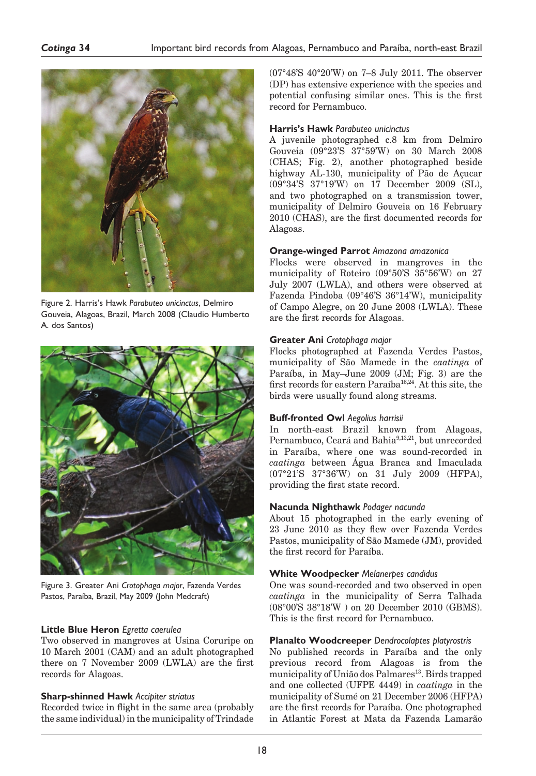

Figure 2. Harris's Hawk *Parabuteo unicinctus*, Delmiro Gouveia, Alagoas, Brazil, March 2008 (Claudio Humberto A. dos Santos)



Figure 3. Greater Ani *Crotophaga major*, Fazenda Verdes Pastos, Paraíba, Brazil, May 2009 (John Medcraft)

## **Little Blue Heron** *Egretta caerulea*

Two observed in mangroves at Usina Coruripe on 10 March 2001 (CAM) and an adult photographed there on 7 November 2009 (LWLA) are the first records for Alagoas.

# **Sharp-shinned Hawk** *Accipiter striatus*

Recorded twice in flight in the same area (probably the same individual) in the municipality of Trindade

(07°48'S 40°20'W) on 7–8 July 2011. The observer (DP) has extensive experience with the species and potential confusing similar ones. This is the first record for Pernambuco.

## **Harris's Hawk** *Parabuteo unicinctus*

A juvenile photographed c.8 km from Delmiro Gouveia (09°23'S 37°59'W) on 30 March 2008 (CHAS; Fig. 2), another photographed beside highway AL-130, municipality of Pão de Açucar (09°34'S 37°19'W) on 17 December 2009 (SL), and two photographed on a transmission tower, municipality of Delmiro Gouveia on 16 February 2010 (CHAS), are the first documented records for Alagoas.

### **Orange-winged Parrot** *Amazona amazonica*

Flocks were observed in mangroves in the municipality of Roteiro (09°50'S 35°56'W) on 27 July 2007 (LWLA), and others were observed at Fazenda Pindoba (09°46'S 36°14'W), municipality of Campo Alegre, on 20 June 2008 (LWLA). These are the first records for Alagoas.

## **Greater Ani** *Crotophaga major*

Flocks photographed at Fazenda Verdes Pastos, municipality of São Mamede in the *caatinga* of Paraíba, in May–June 2009 (JM; Fig. 3) are the first records for eastern Paraíba<sup>16,24</sup>. At this site, the birds were usually found along streams.

## **Buff-fronted Owl** *Aegolius harrisii*

In north-east Brazil known from Alagoas, Pernambuco, Ceará and Bahia<sup>9,13,21</sup>, but unrecorded in Paraíba, where one was sound-recorded in *caatinga* between Água Branca and Imaculada (07°21'S 37°36'W) on 31 July 2009 (HFPA), providing the first state record.

## **Nacunda Nighthawk** *Podager nacunda*

About 15 photographed in the early evening of 23 June 2010 as they flew over Fazenda Verdes Pastos, municipality of São Mamede (JM), provided the first record for Paraíba.

## **White Woodpecker** *Melanerpes candidus*

One was sound-recorded and two observed in open *caatinga* in the municipality of Serra Talhada (08°00'S 38°18'W ) on 20 December 2010 (GBMS). This is the first record for Pernambuco.

# **Planalto Woodcreeper** *Dendrocolaptes platyrostris*

No published records in Paraíba and the only previous record from Alagoas is from the municipality of União dos Palmares<sup>13</sup>. Birds trapped and one collected (UFPE 4449) in *caatinga* in the municipality of Sumé on 21 December 2006 (HFPA) are the first records for Paraíba. One photographed in Atlantic Forest at Mata da Fazenda Lamarão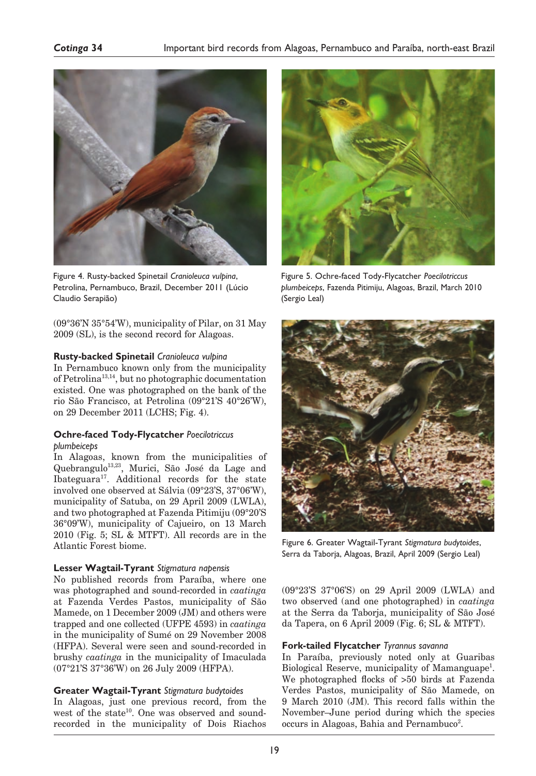

Figure 4. Rusty-backed Spinetail *Cranioleuca vulpina*, Petrolina, Pernambuco, Brazil, December 2011 (Lúcio Claudio Serapião)

(09°36'N 35°54'W), municipality of Pilar, on 31 May 2009 (SL), is the second record for Alagoas.

### **Rusty-backed Spinetail** *Cranioleuca vulpina*

In Pernambuco known only from the municipality of Petrolina13,14, but no photographic documentation existed. One was photographed on the bank of the rio São Francisco, at Petrolina (09°21'S 40°26'W), on 29 December 2011 (LCHS; Fig. 4).

#### **Ochre-faced Tody-Flycatcher** *Poecilotriccus plumbeiceps*

In Alagoas, known from the municipalities of Quebrangulo13,23, Murici, São José da Lage and Ibateguara17. Additional records for the state involved one observed at Sálvia (09°23'S, 37°06'W), municipality of Satuba, on 29 April 2009 (LWLA), and two photographed at Fazenda Pitimiju (09°20'S 36°09'W), municipality of Cajueiro, on 13 March 2010 (Fig. 5; SL & MTFT). All records are in the Atlantic Forest biome.

#### **Lesser Wagtail-Tyrant** *Stigmatura napensis*

No published records from Paraíba, where one was photographed and sound-recorded in *caatinga* at Fazenda Verdes Pastos, municipality of São Mamede, on 1 December 2009 (JM) and others were trapped and one collected (UFPE 4593) in *caatinga* in the municipality of Sumé on 29 November 2008 (HFPA). Several were seen and sound-recorded in brushy *caatinga* in the municipality of Imaculada (07°21'S 37°36'W) on 26 July 2009 (HFPA).

## **Greater Wagtail-Tyrant** *Stigmatura budytoides*

In Alagoas, just one previous record, from the west of the state<sup>10</sup>. One was observed and soundrecorded in the municipality of Dois Riachos



Figure 5. Ochre-faced Tody-Flycatcher *Poecilotriccus plumbeiceps*, Fazenda Pitimiju, Alagoas, Brazil, March 2010 (Sergio Leal)



Figure 6. Greater Wagtail-Tyrant *Stigmatura budytoides*, Serra da Taborja, Alagoas, Brazil, April 2009 (Sergio Leal)

(09°23'S 37°06'S) on 29 April 2009 (LWLA) and two observed (and one photographed) in *caatinga* at the Serra da Taborja, municipality of São José da Tapera, on 6 April 2009 (Fig. 6; SL & MTFT).

#### **Fork-tailed Flycatcher** *Tyrannus savanna*

In Paraíba, previously noted only at Guaribas Biological Reserve, municipality of Mamanguape<sup>1</sup>. We photographed flocks of >50 birds at Fazenda Verdes Pastos, municipality of São Mamede, on 9 March 2010 (JM). This record falls within the November–June period during which the species occurs in Alagoas, Bahia and Pernambuco<sup>2</sup>.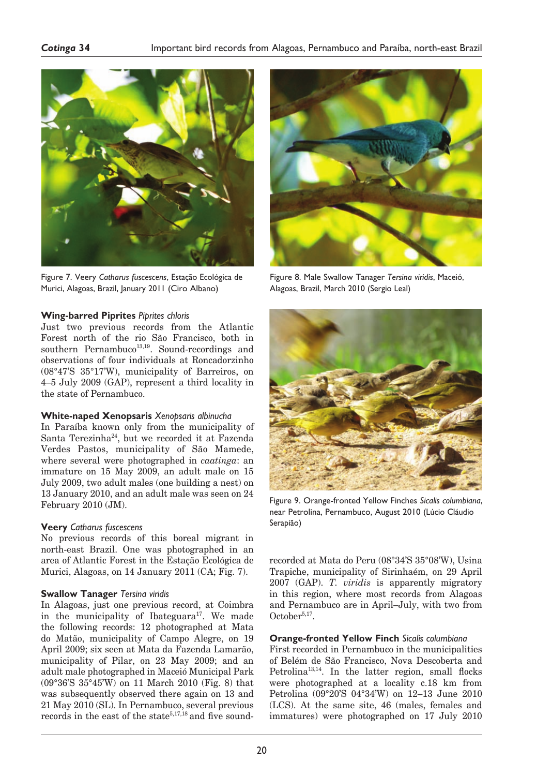

Figure 7. Veery *Catharus fuscescens*, Estação Ecológica de Murici, Alagoas, Brazil, January 2011 (Ciro Albano)

### **Wing-barred Piprites** *Piprites chloris*

Just two previous records from the Atlantic Forest north of the rio São Francisco, both in southern Pernambuco<sup>13,19</sup>. Sound-recordings and observations of four individuals at Roncadorzinho (08°47'S 35°17'W), municipality of Barreiros, on 4–5 July 2009 (GAP), represent a third locality in the state of Pernambuco.

#### **White-naped Xenopsaris** *Xenopsaris albinucha*

In Paraíba known only from the municipality of Santa Terezinha<sup>24</sup>, but we recorded it at Fazenda Verdes Pastos, municipality of São Mamede, where several were photographed in *caatinga*: an immature on 15 May 2009, an adult male on 15 July 2009, two adult males (one building a nest) on 13 January 2010, and an adult male was seen on 24 February 2010 (JM).

#### **Veery** *Catharus fuscescens*

No previous records of this boreal migrant in north-east Brazil. One was photographed in an area of Atlantic Forest in the Estação Ecológica de Murici, Alagoas, on 14 January 2011 (CA; Fig. 7).

#### **Swallow Tanager** *Tersina viridis*

In Alagoas, just one previous record, at Coimbra in the municipality of Ibateguara<sup>17</sup>. We made the following records: 12 photographed at Mata do Matão, municipality of Campo Alegre, on 19 April 2009; six seen at Mata da Fazenda Lamarão, municipality of Pilar, on 23 May 2009; and an adult male photographed in Maceió Municipal Park (09°36'S 35°45'W) on 11 March 2010 (Fig. 8) that was subsequently observed there again on 13 and 21 May 2010 (SL). In Pernambuco, several previous records in the east of the state<sup>5,17,18</sup> and five sound-



Figure 8. Male Swallow Tanager *Tersina viridis*, Maceió, Alagoas, Brazil, March 2010 (Sergio Leal)



Figure 9. Orange-fronted Yellow Finches *Sicalis columbiana*, near Petrolina, Pernambuco, August 2010 (Lúcio Cláudio Serapião)

recorded at Mata do Peru (08°34'S 35°08'W), Usina Trapiche, municipality of Sirinhaém, on 29 April 2007 (GAP). *T. viridis* is apparently migratory in this region, where most records from Alagoas and Pernambuco are in April–July, with two from  $October<sup>5,17</sup>.$ 

#### **Orange-fronted Yellow Finch** *Sicalis columbiana*

First recorded in Pernambuco in the municipalities of Belém de São Francisco, Nova Descoberta and Petrolina<sup>13,14</sup>. In the latter region, small flocks were photographed at a locality c.18 km from Petrolina (09°20'S 04°34'W) on 12–13 June 2010 (LCS). At the same site, 46 (males, females and immatures) were photographed on 17 July 2010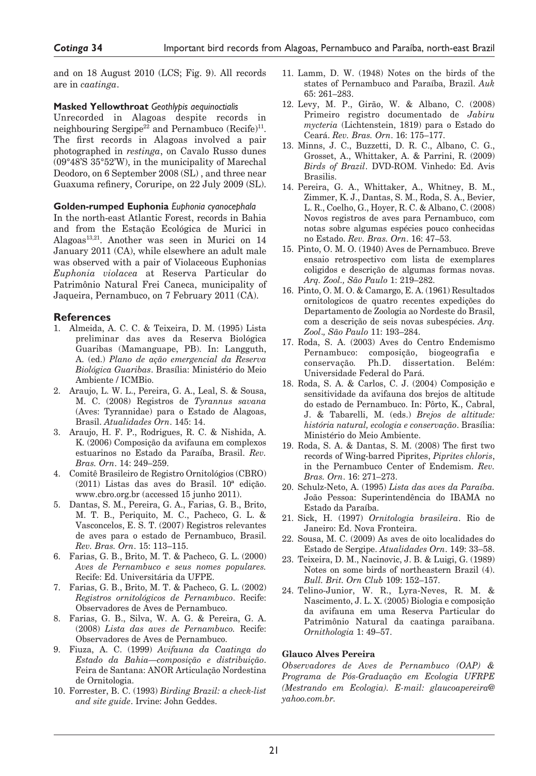and on 18 August 2010 (LCS; Fig. 9). All records are in *caatinga*.

#### **Masked Yellowthroat** *Geothlypis aequinoctialis*

Unrecorded in Alagoas despite records in neighbouring Sergipe<sup>22</sup> and Pernambuco (Recife)<sup>11</sup>. The first records in Alagoas involved a pair photographed in *restinga*, on Cavalo Russo dunes (09°48'S 35°52'W), in the municipality of Marechal Deodoro, on 6 September 2008 (SL) , and three near Guaxuma refinery, Coruripe, on 22 July 2009 (SL).

### **Golden-rumped Euphonia** *Euphonia cyanocephala*

In the north-east Atlantic Forest, records in Bahia and from the Estação Ecológica de Murici in Alagoas<sup>13,21</sup>. Another was seen in Murici on 14 January 2011 (CA), while elsewhere an adult male was observed with a pair of Violaceous Euphonias *Euphonia violacea* at Reserva Particular do Patrimônio Natural Frei Caneca, municipality of Jaqueira, Pernambuco, on 7 February 2011 (CA).

# **References**

- 1. Almeida, A. C. C. & Teixeira, D. M. (1995) Lista preliminar das aves da Reserva Biológica Guaribas (Mamanguape, PB). In: Langguth, A. (ed.) *Plano de ação emergencial da Reserva Biológica Guaribas*. Brasília: Ministério do Meio Ambiente / ICMBio.
- 2. Araujo, L. W. L., Pereira, G. A., Leal, S. & Sousa, M. C. (2008) Registros de *Tyrannus savana*  (Aves: Tyrannidae) para o Estado de Alagoas, Brasil. *Atualidades Orn*. 145: 14.
- 3. Araujo, H. F. P., Rodrigues, R. C. & Nishida, A. K. (2006) Composição da avifauna em complexos estuarinos no Estado da Paraíba, Brasil. *Rev. Bras. Orn*. 14: 249–259.
- 4. Comitê Brasileiro de Registro Ornitológios (CBRO) (2011) Listas das aves do Brasil. 10ª edição. www.cbro.org.br (accessed 15 junho 2011).
- 5. Dantas, S. M., Pereira, G. A., Farias, G. B., Brito, M. T. B., Periquito, M. C., Pacheco, G. L. & Vasconcelos, E. S. T. (2007) Registros relevantes de aves para o estado de Pernambuco, Brasil. *Rev. Bras. Orn*. 15: 113–115.
- 6. Farias, G. B., Brito, M. T. & Pacheco, G. L. (2000) *Aves de Pernambuco e seus nomes populares.* Recife: Ed. Universitária da UFPE.
- 7. Farias, G. B., Brito, M. T. & Pacheco, G. L. (2002) *Registros ornitológicos de Pernambuco*. Recife: Observadores de Aves de Pernambuco.
- 8. Farias, G. B., Silva, W. A. G. & Pereira, G. A. (2008) *Lista das aves de Pernambuco.* Recife: Observadores de Aves de Pernambuco.
- 9. Fiuza, A. C. (1999) *Avifauna da Caatinga do Estado da Bahia—composição e distribuição*. Feira de Santana: ANOR Articulação Nordestina de Ornitologia.
- 10. Forrester, B. C. (1993) *Birding Brazil: a check-list and site guide*. Irvine: John Geddes.
- 11. Lamm, D. W. (1948) Notes on the birds of the states of Pernambuco and Paraíba, Brazil. *Auk* 65: 261–283.
- 12. Levy, M. P., Girão, W. & Albano, C. (2008) Primeiro registro documentado de *Jabiru mycteria* (Lichtenstein, 1819) para o Estado do Ceará. *Rev. Bras. Orn*. 16: 175–177.
- 13. Minns, J. C., Buzzetti, D. R. C., Albano, C. G., Grosset, A., Whittaker, A. & Parrini, R. (2009) *Birds of Brazil*. DVD-ROM. Vinhedo: Ed. Avis Brasilis.
- 14. Pereira, G. A., Whittaker, A., Whitney, B. M., Zimmer, K. J., Dantas, S. M., Roda, S. A., Bevier, L. R., Coelho, G., Hoyer, R. C. & Albano, C. (2008) Novos registros de aves para Pernambuco, com notas sobre algumas espécies pouco conhecidas no Estado. *Rev. Bras. Orn*. 16: 47–53.
- 15. Pinto, O. M. O. (1940) Aves de Pernambuco. Breve ensaio retrospectivo com lista de exemplares coligidos e descrição de algumas formas novas. *Arq. Zool., São Paulo* 1: 219–282.
- 16. Pinto, O. M. O. & Camargo, E. A. (1961) Resultados ornitologicos de quatro recentes expedições do Departamento de Zoologia ao Nordeste do Brasil, com a descrição de seis novas subespécies. *Arq. Zool*.*, São Paulo* 11: 193–284.
- 17. Roda, S. A. (2003) Aves do Centro Endemismo Pernambuco: composição, biogeografia e conservação*.* Ph.D. dissertation. Belém: Universidade Federal do Pará.
- 18. Roda, S. A. & Carlos, C. J. (2004) Composição e sensitividade da avifauna dos brejos de altitude do estado de Pernambuco. In: Pôrto, K., Cabral, J. & Tabarelli, M. (eds.) *Brejos de altitude: história natural, ecologia e conservação*. Brasília: Ministério do Meio Ambiente.
- 19. Roda, S. A. & Dantas, S. M. (2008) The first two records of Wing-barred Piprites, *Piprites chloris*, in the Pernambuco Center of Endemism. *Rev. Bras. Orn*. 16: 271–273.
- 20. Schulz-Neto, A. (1995) *Lista das aves da Paraíba.*  João Pessoa: Superintendência do IBAMA no Estado da Paraíba.
- 21. Sick, H. (1997) *Ornitologia brasileira*. Rio de Janeiro: Ed. Nova Fronteira.
- 22. Sousa, M. C. (2009) As aves de oito localidades do Estado de Sergipe. *Atualidades Orn*. 149: 33–58.
- 23. Teixeira, D. M., Nacinovic, J. B. & Luigi, G. (1989) Notes on some birds of northeastern Brazil (4). *Bull. Brit. Orn Club* 109: 152–157.
- 24. Telino-Junior, W. R., Lyra-Neves, R. M. & Nascimento, J. L. X. (2005) Biologia e composição da avifauna em uma Reserva Particular do Patrimônio Natural da caatinga paraibana. *Ornithologia* 1: 49–57.

#### **Glauco Alves Pereira**

*Observadores de Aves de Pernambuco (OAP) & Programa de Pós-Graduação em Ecologia UFRPE (Mestrando em Ecologia). E-mail: glaucoapereira@ yahoo.com.br.*